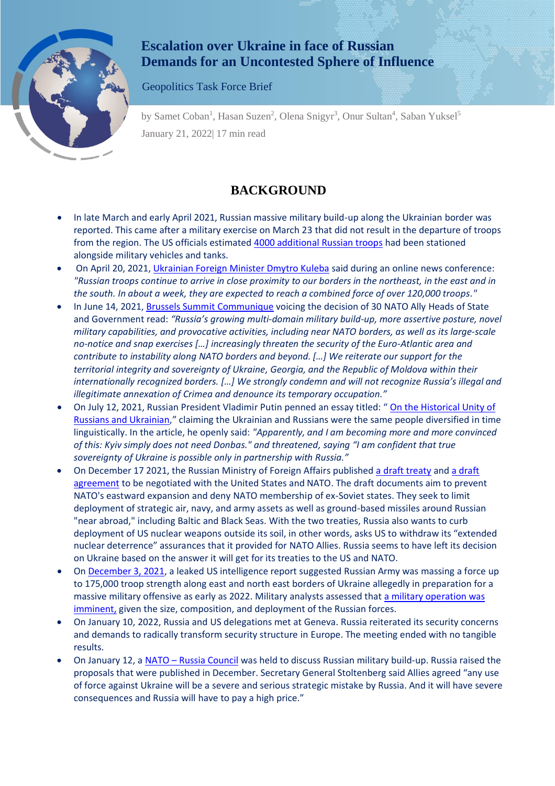# **Escalation over Ukraine in face of Russian Demands for an Uncontested Sphere of Influence**

# Geopolitics Task Force Brief

**E**

by Samet Coban<sup>1</sup>, Hasan Suzen<sup>2</sup>, Olena Snigyr<sup>3</sup>, Onur Sultan<sup>4</sup>, Saban Yuksel<sup>5</sup> January 21, 2022| 17 min read

# **BACKGROUND**

- In late March and early April 2021, Russian massive military build-up along the Ukrainian border was reported. This came after a military exercise on March 23 that did not result in the departure of troops from the region. The US officials estimated [4000 additional Russian troops](https://www.news.com.au/technology/innovation/military/new-footage-reveals-massive-russian-military-buildup-on-ukraine-border/news-story/b53b2eae9d7574c206cbcacacaa3351c) had been stationed alongside military vehicles and tanks.
- On April 20, 2021, [Ukrainian Foreign Minister Dmytro Kuleba](https://www.reuters.com/world/europe/russia-reach-over-120000-troops-ukraines-border-week-ukraine-says-2021-04-20/) said during an online news conference: *"Russian troops continue to arrive in close proximity to our borders in the northeast, in the east and in the south. In about a week, they are expected to reach a combined force of over 120,000 troops."*
- In June 14, 2021, [Brussels Summit](https://www.nato.int/cps/en/natohq/news_185000.htm) Communique voicing the decision of 30 NATO Ally Heads of State and Government read: *"Russia's growing multi-domain military build-up, more assertive posture, novel military capabilities, and provocative activities, including near NATO borders, as well as its large-scale no-notice and snap exercises […] increasingly threaten the security of the Euro-Atlantic area and contribute to instability along NATO borders and beyond. […] We reiterate our support for the territorial integrity and sovereignty of Ukraine, Georgia, and the Republic of Moldova within their internationally recognized borders. […] We strongly condemn and will not recognize Russia's illegal and illegitimate annexation of Crimea and denounce its temporary occupation."*
- On July 12, 2021, Russian President Vladimir Putin penned an essay titled: " [On the Historical Unity of](http://en.kremlin.ru/events/president/news/66181)  [Russians and Ukrainian](http://en.kremlin.ru/events/president/news/66181)," claiming the Ukrainian and Russians were the same people diversified in time linguistically. In the article, he openly said: *"Apparently, and I am becoming more and more convinced of this: Kyiv simply does not need Donbas." and threatened, saying "I am confident that true sovereignty of Ukraine is possible only in partnership with Russia."*
- On December 17 2021, the Russian Ministry of Foreign Affairs published [a draft treaty](https://mid.ru/ru/foreign_policy/rso/nato/1790818/?lang=en) and [a draft](https://mid.ru/ru/foreign_policy/rso/nato/1790803/?lang=en)  [agreement](https://mid.ru/ru/foreign_policy/rso/nato/1790803/?lang=en) to be negotiated with the United States and NATO. The draft documents aim to prevent NATO's eastward expansion and deny NATO membership of ex-Soviet states. They seek to limit deployment of strategic air, navy, and army assets as well as ground-based missiles around Russian "near abroad," including Baltic and Black Seas. With the two treaties, Russia also wants to curb deployment of US nuclear weapons outside its soil, in other words, asks US to withdraw its "extended nuclear deterrence" assurances that it provided for NATO Allies. Russia seems to have left its decision on Ukraine based on the answer it will get for its treaties to the US and NATO.
- O[n December 3, 2021,](https://www.washingtonpost.com/national-security/russia-ukraine-invasion/2021/12/03/98a3760e-546b-11ec-8769-2f4ecdf7a2ad_story.html) a leaked US intelligence report suggested Russian Army was massing a force up to 175,000 troop strength along east and north east borders of Ukraine allegedly in preparation for a massive military offensive as early as 2022. Military analysts assessed that [a military operation was](https://www.nytimes.com/interactive/2022/01/07/world/europe/ukraine-maps.html)  [imminent,](https://www.nytimes.com/interactive/2022/01/07/world/europe/ukraine-maps.html) given the size, composition, and deployment of the Russian forces.
- On January 10, 2022, Russia and US delegations met at Geneva. Russia reiterated its security concerns and demands to radically transform security structure in Europe. The meeting ended with no tangible results.
- On January 12, a NATO [Russia Council](https://www.nato.int/cps/en/natohq/opinions_190666.htm) was held to discuss Russian military build-up. Russia raised the proposals that were published in December. Secretary General Stoltenberg said Allies agreed "any use of force against Ukraine will be a severe and serious strategic mistake by Russia. And it will have severe consequences and Russia will have to pay a high price."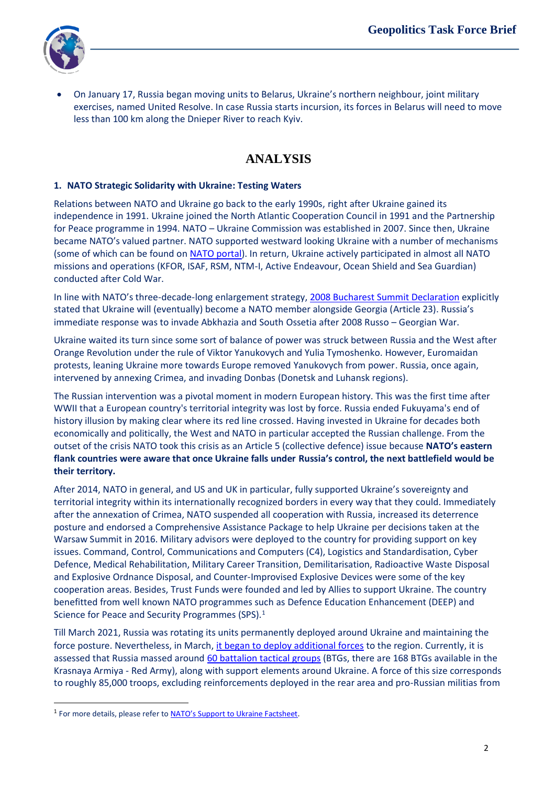

• On January 17, Russia began moving units to Belarus, Ukraine's northern neighbour, joint military exercises, named United Resolve. In case Russia starts incursion, its forces in Belarus will need to move less than 100 km along the Dnieper River to reach Kyiv.

# **ANALYSIS**

## **1. NATO Strategic Solidarity with Ukraine: Testing Waters**

Relations between NATO and Ukraine go back to the early 1990s, right after Ukraine gained its independence in 1991. Ukraine joined the North Atlantic Cooperation Council in 1991 and the Partnership for Peace programme in 1994. NATO – Ukraine Commission was established in 2007. Since then, Ukraine became NATO's valued partner. NATO supported westward looking Ukraine with a number of mechanisms (some of which can be found on [NATO portal\)](https://www.nato.int/cps/en/natohq/topics_37750.htm). In return, Ukraine actively participated in almost all NATO missions and operations (KFOR, ISAF, RSM, NTM-I, Active Endeavour, Ocean Shield and Sea Guardian) conducted after Cold War.

In line with NATO's three-decade-long enlargement strategy, [2008 Bucharest Summit Declaration](https://www.nato.int/cps/en/natolive/official_texts_8443.htm) explicitly stated that Ukraine will (eventually) become a NATO member alongside Georgia (Article 23). Russia's immediate response was to invade Abkhazia and South Ossetia after 2008 Russo – Georgian War.

Ukraine waited its turn since some sort of balance of power was struck between Russia and the West after Orange Revolution under the rule of Viktor Yanukovych and Yulia Tymoshenko. However, Euromaidan protests, leaning Ukraine more towards Europe removed Yanukovych from power. Russia, once again, intervened by annexing Crimea, and invading Donbas (Donetsk and Luhansk regions).

The Russian intervention was a pivotal moment in modern European history. This was the first time after WWII that a European country's territorial integrity was lost by force. Russia ended Fukuyama's end of history illusion by making clear where its red line crossed. Having invested in Ukraine for decades both economically and politically, the West and NATO in particular accepted the Russian challenge. From the outset of the crisis NATO took this crisis as an Article 5 (collective defence) issue because **NATO's eastern flank countries were aware that once Ukraine falls under Russia's control, the next battlefield would be their territory.**

After 2014, NATO in general, and US and UK in particular, fully supported Ukraine's sovereignty and territorial integrity within its internationally recognized borders in every way that they could. Immediately after the annexation of Crimea, NATO suspended all cooperation with Russia, increased its deterrence posture and endorsed a Comprehensive Assistance Package to help Ukraine per decisions taken at the Warsaw Summit in 2016. Military advisors were deployed to the country for providing support on key issues. Command, Control, Communications and Computers (C4), Logistics and Standardisation, Cyber Defence, Medical Rehabilitation, Military Career Transition, Demilitarisation, Radioactive Waste Disposal and Explosive Ordnance Disposal, and Counter-Improvised Explosive Devices were some of the key cooperation areas. Besides, Trust Funds were founded and led by Allies to support Ukraine. The country benefitted from well known NATO programmes such as Defence Education Enhancement (DEEP) and Science for Peace and Security Programmes (SPS).<sup>1</sup>

Till March 2021, Russia was rotating its units permanently deployed around Ukraine and maintaining the force posture. Nevertheless, in March, [it began to deploy additional forces](https://www.washingtonpost.com/politics/2022/01/15/heres-what-we-know-about-russias-military-buildup-near-ukraine/) to the region. Currently, it is assessed that Russia massed around [60 battalion tactical groups](https://www.19fortyfive.com/2021/12/russian-battalion-groups-are-assembling-around-ukraine-what-is-putin-up-to/) (BTGs, there are 168 BTGs available in the Krasnaya Armiya - Red Army), along with support elements around Ukraine. A force of this size corresponds to roughly 85,000 troops, excluding reinforcements deployed in the rear area and pro-Russian militias from

<sup>&</sup>lt;sup>1</sup> For more details, please refer to [NATO's Support to Ukraine Factsheet](https://www.nato.int/nato_static_fl2014/assets/pdf/pdf_2018_11/20181106_1811-factsheet-nato-ukraine-sup.pdf).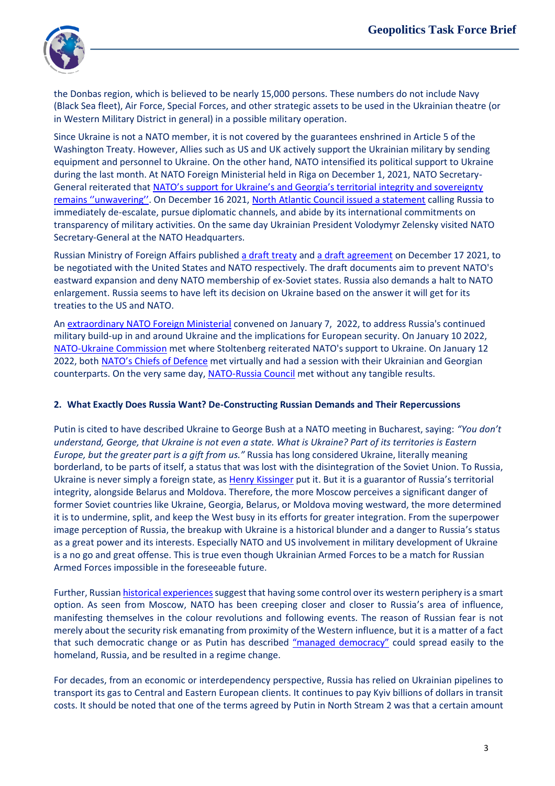

the Donbas region, which is believed to be nearly 15,000 persons. These numbers do not include Navy (Black Sea fleet), Air Force, Special Forces, and other strategic assets to be used in the Ukrainian theatre (or in Western Military District in general) in a possible military operation.

Since Ukraine is not a NATO member, it is not covered by the guarantees enshrined in Article 5 of the Washington Treaty. However, Allies such as US and UK actively support the Ukrainian military by sending equipment and personnel to Ukraine. On the other hand, NATO intensified its political support to Ukraine during the last month. At NATO Foreign Ministerial held in Riga on December 1, 2021, NATO Secretary-General reiterated that NATO's support for Ukraine's and Georgia'[s territorial integrity and sovereignty](https://www.nato.int/cps/en/natohq/news_189154.htm?selectedLocale=en)  remains ''[unwavering](https://www.nato.int/cps/en/natohq/news_189154.htm?selectedLocale=en)''. On December 16 2021, [North Atlantic Council issued a statement](https://www.nato.int/cps/en/natohq/news_190373.htm?selectedLocale=en) calling Russia to immediately de-escalate, pursue diplomatic channels, and abide by its international commitments on transparency of military activities. On the same day Ukrainian President Volodymyr Zelensky visited NATO Secretary-General at the NATO Headquarters.

Russian Ministry of Foreign Affairs published [a draft treaty](https://mid.ru/ru/foreign_policy/rso/nato/1790818/?lang=en) and [a draft agreement](https://mid.ru/ru/foreign_policy/rso/nato/1790803/?lang=en) on December 17 2021, to be negotiated with the United States and NATO respectively. The draft documents aim to prevent NATO's eastward expansion and deny NATO membership of ex-Soviet states. Russia also demands a halt to NATO enlargement. Russia seems to have left its decision on Ukraine based on the answer it will get for its treaties to the US and NATO.

An [extraordinary NATO Foreign Ministerial](https://www.nato.int/cps/en/natohq/news_190516.htm?selectedLocale=en) convened on January 7, 2022, to address Russia's continued military build-up in and around Ukraine and the implications for European security. On January 10 2022, [NATO-Ukraine Commission](https://www.nato.int/cps/en/natohq/news_190540.htm?selectedLocale=en) met where Stoltenberg reiterated NATO's support to Ukraine. On January 12 2022, both [NATO's Chiefs of Defence](https://www.nato.int/cps/en/natohq/news_190648.htm?selectedLocale=en) met virtually and had a session with their Ukrainian and Georgian counterparts. On the very same day, [NATO-Russia Council](https://www.nato.int/cps/en/natohq/news_190643.htm?selectedLocale=en) met without any tangible results.

## **2. What Exactly Does Russia Want? De-Constructing Russian Demands and Their Repercussions**

Putin is cited to have described Ukraine to George Bush at a NATO meeting in Bucharest, saying: *"You don't understand, George, that Ukraine is not even a state. What is Ukraine? Part of its territories is Eastern Europe, but the greater part is a gift from us."* Russia has long considered Ukraine, literally meaning borderland, to be parts of itself, a status that was lost with the disintegration of the Soviet Union. To Russia, Ukraine is never simply a foreign state, as **Henry Kissinger** put it. But it is a guarantor of Russia's territorial integrity, alongside Belarus and Moldova. Therefore, the more Moscow perceives a significant danger of former Soviet countries like Ukraine, Georgia, Belarus, or Moldova moving westward, the more determined it is to undermine, split, and keep the West busy in its efforts for greater integration. From the superpower image perception of Russia, the breakup with Ukraine is a historical blunder and a danger to Russia's status as a great power and its interests. Especially NATO and US involvement in military development of Ukraine is a no go and great offense. This is true even though Ukrainian Armed Forces to be a match for Russian Armed Forces impossible in the foreseeable future.

Further, Russian historical experiences suggest that having some control over its western periphery is a smart option. As seen from Moscow, NATO has been creeping closer and closer to Russia's area of influence, manifesting themselves in the colour revolutions and following events. The reason of Russian fear is not merely about the security risk emanating from proximity of the Western influence, but it is a matter of a fact that such democratic change or as Putin has described ["managed democracy"](https://www.washingtonpost.com/news/monkey-cage/wp/2014/03/02/how-putins-worldview-may-be-shaping-his-response-in-crimea/) could spread easily to the homeland, Russia, and be resulted in a regime change.

For decades, from an economic or interdependency perspective, Russia has relied on Ukrainian pipelines to transport its gas to Central and Eastern European clients. It continues to pay Kyiv billions of dollars in transit costs. It should be noted that one of the terms agreed by Putin in North Stream 2 was that a certain amount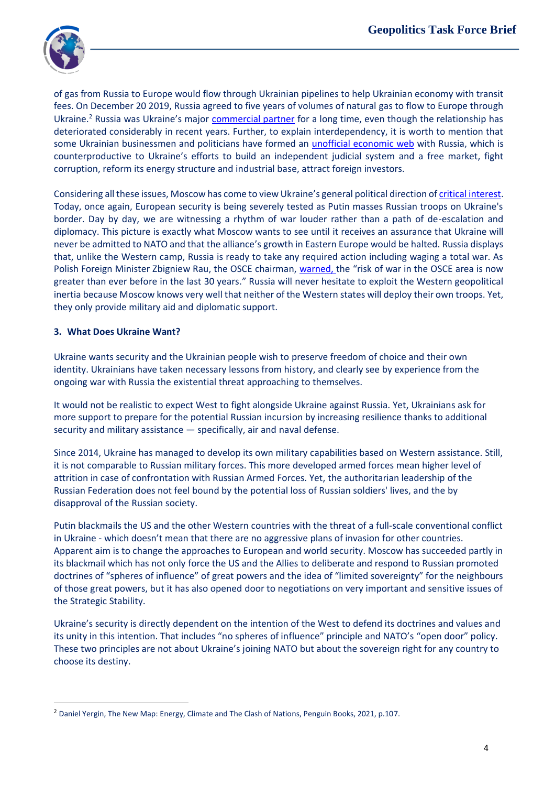

of gas from Russia to Europe would flow through Ukrainian pipelines to help Ukrainian economy with transit fees. On December 20 2019, Russia agreed to five years of volumes of natural gas to flow to Europe through Ukraine.<sup>2</sup> Russia was Ukraine's major [commercial partner](https://reliefweb.int/report/ukraine/ukraine-socio-economic-vulnerability-and-risk-assessment-03-july-2015) for a long time, even though the relationship has deteriorated considerably in recent years. Further, to explain interdependency, it is worth to mention that some Ukrainian businessmen and politicians have formed an [unofficial economic web](https://www.researchgate.net/publication/341894857_Ukraine) with Russia, which is counterproductive to Ukraine's efforts to build an independent judicial system and a free market, fight corruption, reform its energy structure and industrial base, attract foreign investors.

Considering all these issues, Moscow has come to view Ukraine's general political direction o[f critical interest.](https://behorizon.org/russian-political-warfare-against-nato-eu-counteractions/) Today, once again, European security is being severely tested as Putin masses Russian troops on Ukraine's border. Day by day, we are witnessing a rhythm of war louder rather than a path of de-escalation and diplomacy. This picture is exactly what Moscow wants to see until it receives an assurance that Ukraine will never be admitted to NATO and that the alliance's growth in Eastern Europe would be halted. Russia displays that, unlike the Western camp, Russia is ready to take any required action including waging a total war. As Polish Foreign Minister Zbigniew Rau, the OSCE chairman, [warned,](https://edition.cnn.com/2022/01/13/politics/russia-talks-diplomacy-uncertain-thursday-osce/index.html) the "risk of war in the OSCE area is now greater than ever before in the last 30 years." Russia will never hesitate to exploit the Western geopolitical inertia because Moscow knows very well that neither of the Western states will deploy their own troops. Yet, they only provide military aid and diplomatic support.

## **3. What Does Ukraine Want?**

Ukraine wants security and the Ukrainian people wish to preserve freedom of choice and their own identity. Ukrainians have taken necessary lessons from history, and clearly see by experience from the ongoing war with Russia the existential threat approaching to themselves.

It would not be realistic to expect West to fight alongside Ukraine against Russia. Yet, Ukrainians ask for more support to prepare for the potential Russian incursion by increasing resilience thanks to additional security and military assistance — specifically, air and naval defense.

Since 2014, Ukraine has managed to develop its own military capabilities based on Western assistance. Still, it is not comparable to Russian military forces. This more developed armed forces mean higher level of attrition in case of confrontation with Russian Armed Forces. Yet, the authoritarian leadership of the Russian Federation does not feel bound by the potential loss of Russian soldiers' lives, and the by disapproval of the Russian society.

Putin blackmails the US and the other Western countries with the threat of a full-scale conventional conflict in Ukraine - which doesn't mean that there are no aggressive plans of invasion for other countries. Apparent aim is to change the approaches to European and world security. Moscow has succeeded partly in its blackmail which has not only force the US and the Allies to deliberate and respond to Russian promoted doctrines of "spheres of influence" of great powers and the idea of "limited sovereignty" for the neighbours of those great powers, but it has also opened door to negotiations on very important and sensitive issues of the Strategic Stability.

Ukraine's security is directly dependent on the intention of the West to defend its doctrines and values and its unity in this intention. That includes "no spheres of influence" principle and NATO's "open door" policy. These two principles are not about Ukraine's joining NATO but about the sovereign right for any country to choose its destiny.

<sup>&</sup>lt;sup>2</sup> Daniel Yergin, The New Map: Energy, Climate and The Clash of Nations, Penguin Books, 2021, p.107.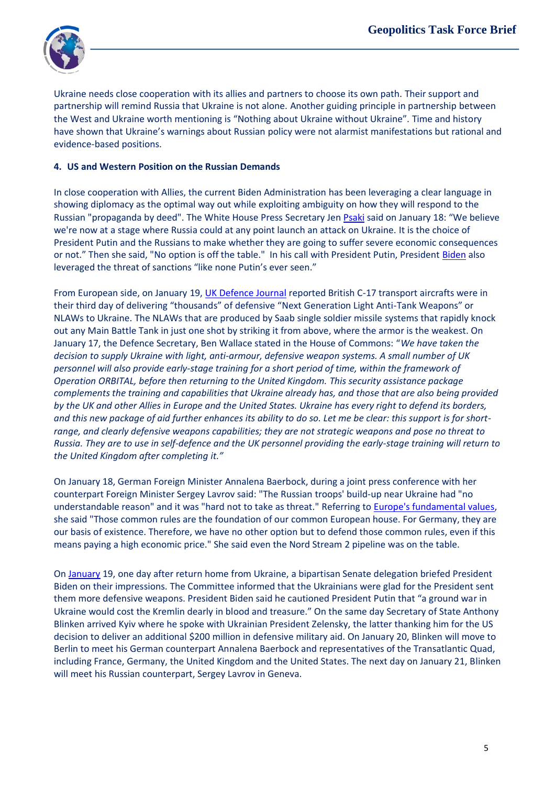

Ukraine needs close cooperation with its allies and partners to choose its own path. Their support and partnership will remind Russia that Ukraine is not alone. Another guiding principle in partnership between the West and Ukraine worth mentioning is "Nothing about Ukraine without Ukraine". Time and history have shown that Ukraine's warnings about Russian policy were not alarmist manifestations but rational and evidence-based positions.

## **4. US and Western Position on the Russian Demands**

In close cooperation with Allies, the current Biden Administration has been leveraging a clear language in showing diplomacy as the optimal way out while exploiting ambiguity on how they will respond to the Russian "propaganda by deed". The White House Press Secretary Jen [Psaki](https://www.ndtv.com/world-news/russia-could-attack-ukraine-at-any-point-us-2715977) said on January 18: "We believe we're now at a stage where Russia could at any point launch an attack on Ukraine. It is the choice of President Putin and the Russians to make whether they are going to suffer severe economic consequences or not." Then she said, "No option is off the table." In his call with President Putin, President [Biden](https://indianexpress.com/article/world/open-warnings-conflicting-demands-how-us-and-russia-are-engaging-7720754/) also leveraged the threat of sanctions "like none Putin's ever seen."

From European side, on January 19, [UK Defence Journal](https://ukdefencejournal.org.uk/third-day-of-british-weapon-flights-to-ukraine/) reported British C-17 transport aircrafts were in their third day of delivering "thousands" of defensive "Next Generation Light Anti-Tank Weapons" or NLAWs to Ukraine. The NLAWs that are produced by Saab single soldier missile systems that rapidly knock out any Main Battle Tank in just one shot by striking it from above, where the armor is the weakest. On January 17, the Defence Secretary, Ben Wallace stated in the House of Commons: "*We have taken the decision to supply Ukraine with light, anti-armour, defensive weapon systems. A small number of UK personnel will also provide early-stage training for a short period of time, within the framework of Operation ORBITAL, before then returning to the United Kingdom. This security assistance package complements the training and capabilities that Ukraine already has, and those that are also being provided by the UK and other Allies in Europe and the United States. Ukraine has every right to defend its borders, and this new package of aid further enhances its ability to do so. Let me be clear: this support is for shortrange, and clearly defensive weapons capabilities; they are not strategic weapons and pose no threat to Russia. They are to use in self-defence and the UK personnel providing the early-stage training will return to the United Kingdom after completing it."*

On January 18, German Foreign Minister Annalena Baerbock, during a joint press conference with her counterpart Foreign Minister Sergey Lavrov said: "The Russian troops' build-up near Ukraine had "no understandable reason" and it was "hard not to take as threat." Referring t[o Europe's fundamental values,](https://www.voanews.com/a/germany-prepared-to-pay-high-economic-price-to-defend-ukraine/6402159.html) she said "Those common rules are the foundation of our common European house. For Germany, they are our basis of existence. Therefore, we have no other option but to defend those common rules, even if this means paying a high economic price." She said even the Nord Stream 2 pipeline was on the table.

On [January](https://www.politico.com/newsletters/national-security-daily/2022/01/19/inside-bidens-meeting-with-the-ukraine-codel-495776) 19, one day after return home from Ukraine, a bipartisan Senate delegation briefed President Biden on their impressions. The Committee informed that the Ukrainians were glad for the President sent them more defensive weapons. President Biden said he cautioned President Putin that "a ground war in Ukraine would cost the Kremlin dearly in blood and treasure." On the same day Secretary of State Anthony Blinken arrived Kyiv where he spoke with Ukrainian President Zelensky, the latter thanking him for the US decision to deliver an additional \$200 million in defensive military aid. On January 20, Blinken will move to Berlin to meet his German counterpart Annalena Baerbock and representatives of the Transatlantic Quad, including France, Germany, the United Kingdom and the United States. The next day on January 21, Blinken will meet his Russian counterpart, Sergey Lavrov in Geneva.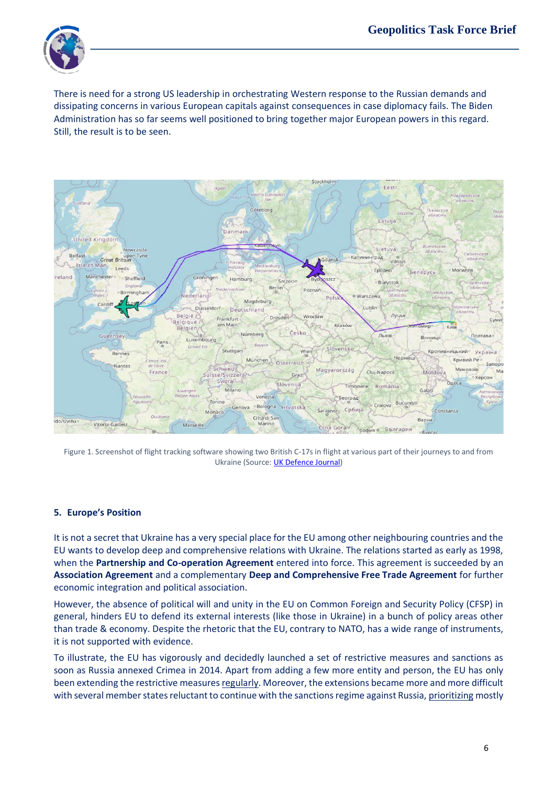

There is need for a strong US leadership in orchestrating Western response to the Russian demands and dissipating concerns in various European capitals against consequences in case diplomacy fails. The Biden Administration has so far seems well positioned to bring together major European powers in this regard. Still, the result is to be seen.



Figure 1. Screenshot of flight tracking software showing two British C-17s in flight at various part of their journeys to and from Ukraine (Source[: UK Defence Journal\)](https://ukdefencejournal.org.uk/third-day-of-british-weapon-flights-to-ukraine/)

#### **5. Europe's Position**

It is not a secret that Ukraine has a very special place for the EU among other neighbouring countries and the EU wants to develop deep and comprehensive relations with Ukraine. The relations started as early as 1998, when the **Partnership and Co-operation Agreement** entered into force. This agreement is succeeded by an **Association Agreement** and a complementary **Deep and Comprehensive Free Trade Agreement** for further economic integration and political association.

However, the absence of political will and unity in the EU on Common Foreign and Security Policy (CFSP) in general, hinders EU to defend its external interests (like those in Ukraine) in a bunch of policy areas other than trade & economy. Despite the rhetoric that the EU, contrary to NATO, has a wide range of instruments, it is not supported with evidence.

To illustrate, the EU has vigorously and decidedly launched a set of restrictive measures and sanctions as soon as Russia annexed Crimea in 2014. Apart from adding a few more entity and person, the EU has only been extending the restrictive measure[s regularly.](https://www.consilium.europa.eu/en/policies/sanctions/ukraine-crisis/history-ukraine-crisis/) Moreover, the extensions became more and more difficult with several member states reluctant to continue with the sanctions regime against Russia[, prioritizing](https://www.europeanleadershipnetwork.org/commentary/friend-or-foe-mapping-the-positions-of-eu-member-states-on-russia-sanctions/) mostly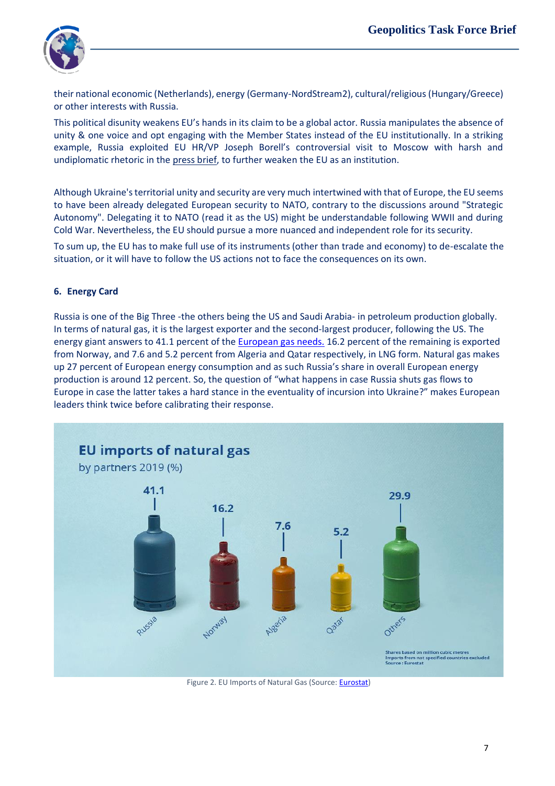

their national economic (Netherlands), energy (Germany-NordStream2), cultural/religious (Hungary/Greece) or other interests with Russia.

This political disunity weakens EU's hands in its claim to be a global actor. Russia manipulates the absence of unity & one voice and opt engaging with the Member States instead of the EU institutionally. In a striking example, Russia exploited EU HR/VP Joseph Borell's controversial visit to Moscow with harsh and undiplomatic rhetoric in the [press brief,](https://www.politico.eu/article/borrell-stands-by-as-lavrov-calls-eu-unreliable-partner/) to further weaken the EU as an institution.

Although Ukraine's territorial unity and security are very much intertwined with that of Europe, the EU seems to have been already delegated European security to NATO, contrary to the discussions around "Strategic Autonomy". Delegating it to NATO (read it as the US) might be understandable following WWII and during Cold War. Nevertheless, the EU should pursue a more nuanced and independent role for its security.

To sum up, the EU has to make full use of its instruments (other than trade and economy) to de-escalate the situation, or it will have to follow the US actions not to face the consequences on its own.

#### **6. Energy Card**

Russia is one of the Big Three -the others being the US and Saudi Arabia- in petroleum production globally. In terms of natural gas, it is the largest exporter and the second-largest producer, following the US. The energy giant answers to 41.1 percent of the [European gas needs.](https://ec.europa.eu/eurostat/cache/infographs/energy/bloc-2c.html#carouselControls?lang=en) 16.2 percent of the remaining is exported from Norway, and 7.6 and 5.2 percent from Algeria and Qatar respectively, in LNG form. Natural gas makes up 27 percent of European energy consumption and as such Russia's share in overall European energy production is around 12 percent. So, the question of "what happens in case Russia shuts gas flows to Europe in case the latter takes a hard stance in the eventuality of incursion into Ukraine?" makes European leaders think twice before calibrating their response.



Figure 2. EU Imports of Natural Gas (Source: **Eurostat**)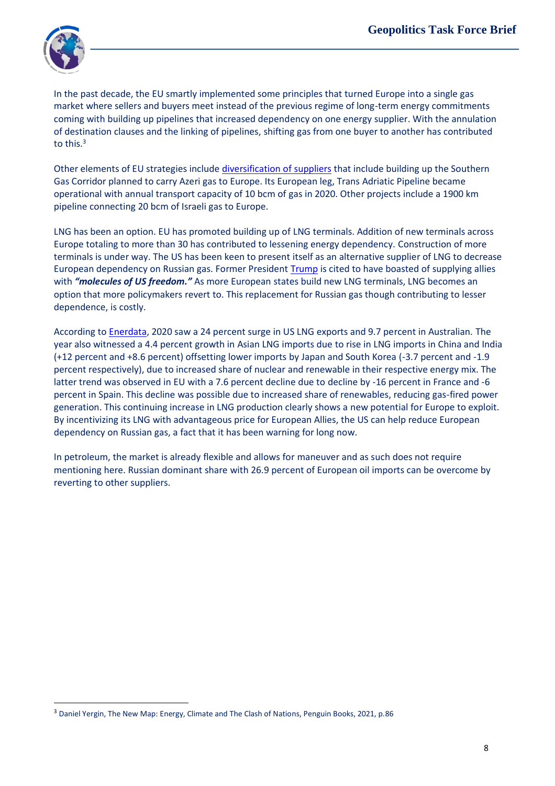

In the past decade, the EU smartly implemented some principles that turned Europe into a single gas market where sellers and buyers meet instead of the previous regime of long-term energy commitments coming with building up pipelines that increased dependency on one energy supplier. With the annulation of destination clauses and the linking of pipelines, shifting gas from one buyer to another has contributed to this.<sup>3</sup>

Other elements of EU strategies include [diversification of suppliers](https://www.economist.com/the-economist-explains/2021/10/27/could-europe-manage-without-russian-gas) that include building up the Southern Gas Corridor planned to carry Azeri gas to Europe. Its European leg, Trans Adriatic Pipeline became operational with annual transport capacity of 10 bcm of gas in 2020. Other projects include a 1900 km pipeline connecting 20 bcm of Israeli gas to Europe.

LNG has been an option. EU has promoted building up of LNG terminals. Addition of new terminals across Europe totaling to more than 30 has contributed to lessening energy dependency. Construction of more terminals is under way. The US has been keen to present itself as an alternative supplier of LNG to decrease European dependency on Russian gas. Former President [Trump](https://www.economist.com/the-economist-explains/2021/10/27/could-europe-manage-without-russian-gas) is cited to have boasted of supplying allies with *"molecules of US freedom."* As more European states build new LNG terminals, LNG becomes an option that more policymakers revert to. This replacement for Russian gas though contributing to lesser dependence, is costly.

According to [Enerdata,](https://yearbook.enerdata.net/natural-gas/balance-lng-trade-world.html) 2020 saw a 24 percent surge in US LNG exports and 9.7 percent in Australian. The year also witnessed a 4.4 percent growth in Asian LNG imports due to rise in LNG imports in China and India (+12 percent and +8.6 percent) offsetting lower imports by Japan and South Korea (-3.7 percent and -1.9 percent respectively), due to increased share of nuclear and renewable in their respective energy mix. The latter trend was observed in EU with a 7.6 percent decline due to decline by -16 percent in France and -6 percent in Spain. This decline was possible due to increased share of renewables, reducing gas-fired power generation. This continuing increase in LNG production clearly shows a new potential for Europe to exploit. By incentivizing its LNG with advantageous price for European Allies, the US can help reduce European dependency on Russian gas, a fact that it has been warning for long now.

In petroleum, the market is already flexible and allows for maneuver and as such does not require mentioning here. Russian dominant share with 26.9 percent of European oil imports can be overcome by reverting to other suppliers.

<sup>3</sup> Daniel Yergin, The New Map: Energy, Climate and The Clash of Nations, Penguin Books, 2021, p.86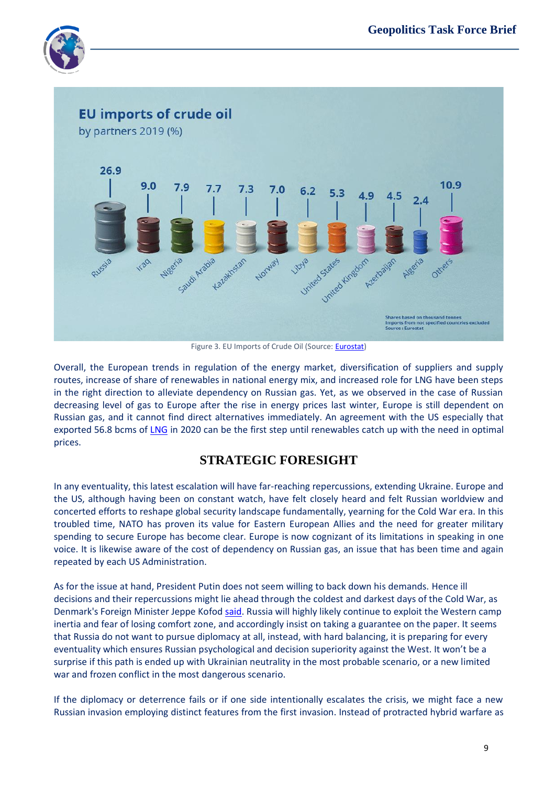



Figure 3. EU Imports of Crude Oil (Source[: Eurostat\)](https://ec.europa.eu/eurostat/cache/infographs/energy/bloc-2c.html#carouselControls?lang=en)

Overall, the European trends in regulation of the energy market, diversification of suppliers and supply routes, increase of share of renewables in national energy mix, and increased role for LNG have been steps in the right direction to alleviate dependency on Russian gas. Yet, as we observed in the case of Russian decreasing level of gas to Europe after the rise in energy prices last winter, Europe is still dependent on Russian gas, and it cannot find direct alternatives immediately. An agreement with the US especially that exported 56.8 bcms of [LNG](https://yearbook.enerdata.net/natural-gas/balance-trade-world-data.html) in 2020 can be the first step until renewables catch up with the need in optimal prices.

## **STRATEGIC FORESIGHT**

In any eventuality, this latest escalation will have far-reaching repercussions, extending Ukraine. Europe and the US, although having been on constant watch, have felt closely heard and felt Russian worldview and concerted efforts to reshape global security landscape fundamentally, yearning for the Cold War era. In this troubled time, NATO has proven its value for Eastern European Allies and the need for greater military spending to secure Europe has become clear. Europe is now cognizant of its limitations in speaking in one voice. It is likewise aware of the cost of dependency on Russian gas, an issue that has been time and again repeated by each US Administration.

As for the issue at hand, President Putin does not seem willing to back down his demands. Hence ill decisions and their repercussions might lie ahead through the coldest and darkest days of the Cold War, as Denmark's Foreign Minister Jeppe Kofod [said.](https://edition.cnn.com/2022/01/15/politics/putin-russia-ukraine-border/index.html) Russia will highly likely continue to exploit the Western camp inertia and fear of losing comfort zone, and accordingly insist on taking a guarantee on the paper. It seems that Russia do not want to pursue diplomacy at all, instead, with hard balancing, it is preparing for every eventuality which ensures Russian psychological and decision superiority against the West. It won't be a surprise if this path is ended up with Ukrainian neutrality in the most probable scenario, or a new limited war and frozen conflict in the most dangerous scenario.

If the diplomacy or deterrence fails or if one side intentionally escalates the crisis, we might face a new Russian invasion employing distinct features from the first invasion. Instead of protracted hybrid warfare as